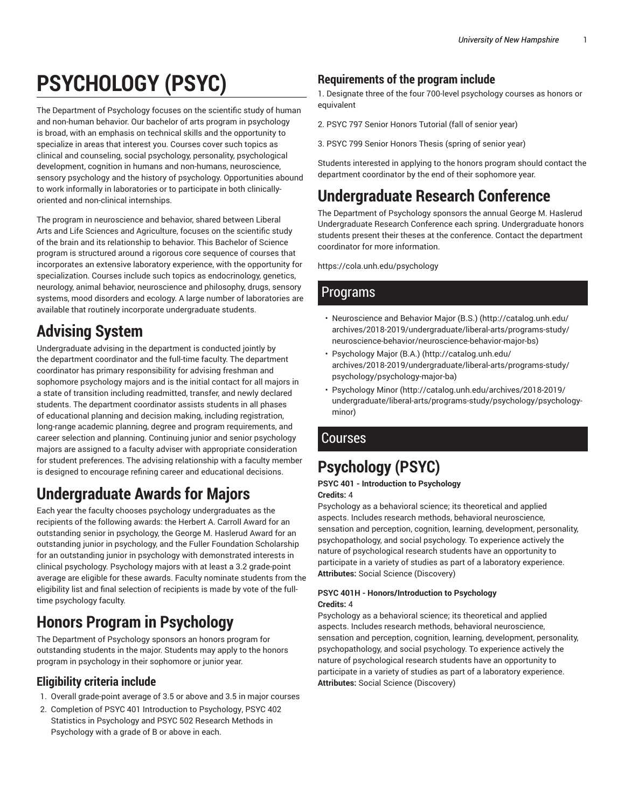# **PSYCHOLOGY (PSYC)**

The Department of Psychology focuses on the scientific study of human and non-human behavior. Our bachelor of arts program in psychology is broad, with an emphasis on technical skills and the opportunity to specialize in areas that interest you. Courses cover such topics as clinical and counseling, social psychology, personality, psychological development, cognition in humans and non-humans, neuroscience, sensory psychology and the history of psychology. Opportunities abound to work informally in laboratories or to participate in both clinicallyoriented and non-clinical internships.

The program in neuroscience and behavior, shared between Liberal Arts and Life Sciences and Agriculture, focuses on the scientific study of the brain and its relationship to behavior. This Bachelor of Science program is structured around a rigorous core sequence of courses that incorporates an extensive laboratory experience, with the opportunity for specialization. Courses include such topics as endocrinology, genetics, neurology, animal behavior, neuroscience and philosophy, drugs, sensory systems, mood disorders and ecology. A large number of laboratories are available that routinely incorporate undergraduate students.

## **Advising System**

Undergraduate advising in the department is conducted jointly by the department coordinator and the full-time faculty. The department coordinator has primary responsibility for advising freshman and sophomore psychology majors and is the initial contact for all majors in a state of transition including readmitted, transfer, and newly declared students. The department coordinator assists students in all phases of educational planning and decision making, including registration, long-range academic planning, degree and program requirements, and career selection and planning. Continuing junior and senior psychology majors are assigned to a faculty adviser with appropriate consideration for student preferences. The advising relationship with a faculty member is designed to encourage refining career and educational decisions.

## **Undergraduate Awards for Majors**

Each year the faculty chooses psychology undergraduates as the recipients of the following awards: the Herbert A. Carroll Award for an outstanding senior in psychology, the George M. Haslerud Award for an outstanding junior in psychology, and the Fuller Foundation Scholarship for an outstanding junior in psychology with demonstrated interests in clinical psychology. Psychology majors with at least a 3.2 grade-point average are eligible for these awards. Faculty nominate students from the eligibility list and final selection of recipients is made by vote of the fulltime psychology faculty.

## **Honors Program in Psychology**

The Department of Psychology sponsors an honors program for outstanding students in the major. Students may apply to the honors program in psychology in their sophomore or junior year.

### **Eligibility criteria include**

- 1. Overall grade-point average of 3.5 or above and 3.5 in major courses
- 2. Completion of PSYC 401 Introduction to Psychology, PSYC 402 Statistics in Psychology and PSYC 502 Research Methods in Psychology with a grade of B or above in each.

## **Requirements of the program include**

1. Designate three of the four 700-level psychology courses as honors or equivalent

- 2. PSYC 797 Senior Honors Tutorial (fall of senior year)
- 3. PSYC 799 Senior Honors Thesis (spring of senior year)

Students interested in applying to the honors program should contact the department coordinator by the end of their sophomore year.

## **Undergraduate Research Conference**

The Department of Psychology sponsors the annual George M. Haslerud Undergraduate Research Conference each spring. Undergraduate honors students present their theses at the conference. Contact the department coordinator for more information.

https://cola.unh.edu/psychology

## Programs

- Neuroscience and Behavior Major (B.S.) (http://catalog.unh.edu/ archives/2018-2019/undergraduate/liberal-arts/programs-study/ neuroscience-behavior/neuroscience-behavior-major-bs)
- Psychology Major (B.A.) (http://catalog.unh.edu/ archives/2018-2019/undergraduate/liberal-arts/programs-study/ psychology/psychology-major-ba)
- Psychology Minor (http://catalog.unh.edu/archives/2018-2019/ undergraduate/liberal-arts/programs-study/psychology/psychologyminor)

## Courses

## **Psychology (PSYC)**

#### **PSYC 401 - Introduction to Psychology Credits:** 4

Psychology as a behavioral science; its theoretical and applied aspects. Includes research methods, behavioral neuroscience, sensation and perception, cognition, learning, development, personality, psychopathology, and social psychology. To experience actively the nature of psychological research students have an opportunity to participate in a variety of studies as part of a laboratory experience. **Attributes:** Social Science (Discovery)

#### **PSYC 401H - Honors/Introduction to Psychology Credits:** 4

Psychology as a behavioral science; its theoretical and applied aspects. Includes research methods, behavioral neuroscience, sensation and perception, cognition, learning, development, personality, psychopathology, and social psychology. To experience actively the nature of psychological research students have an opportunity to participate in a variety of studies as part of a laboratory experience. **Attributes:** Social Science (Discovery)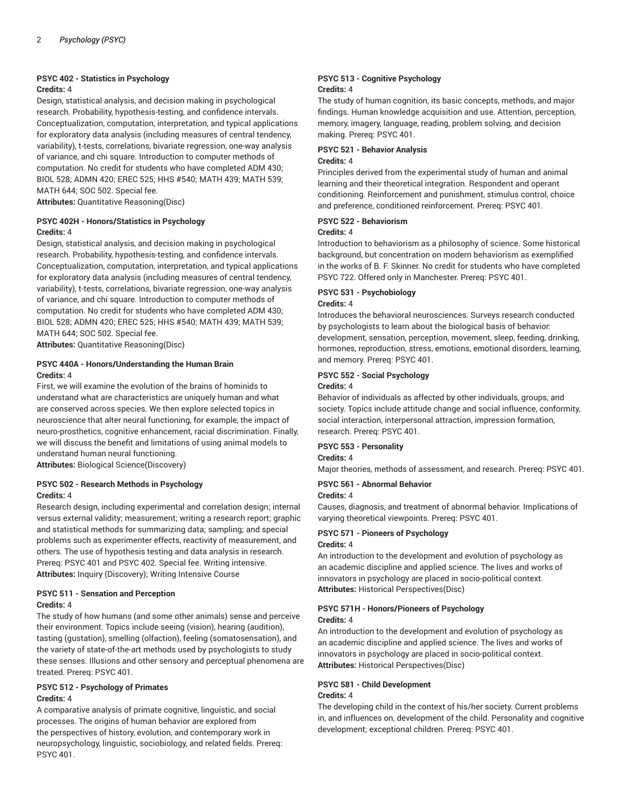#### **PSYC 402 - Statistics in Psychology**

#### **Credits:** 4

Design, statistical analysis, and decision making in psychological research. Probability, hypothesis-testing, and confidence intervals. Conceptualization, computation, interpretation, and typical applications for exploratory data analysis (including measures of central tendency, variability), t-tests, correlations, bivariate regression, one-way analysis of variance, and chi square. Introduction to computer methods of computation. No credit for students who have completed ADM 430; BIOL 528; ADMN 420; EREC 525; HHS #540; MATH 439; MATH 539; MATH 644; SOC 502. Special fee.

**Attributes:** Quantitative Reasoning(Disc)

#### **PSYC 402H - Honors/Statistics in Psychology Credits:** 4

Design, statistical analysis, and decision making in psychological research. Probability, hypothesis-testing, and confidence intervals. Conceptualization, computation, interpretation, and typical applications for exploratory data analysis (including measures of central tendency, variability), t-tests, correlations, bivariate regression, one-way analysis of variance, and chi square. Introduction to computer methods of computation. No credit for students who have completed ADM 430; BIOL 528; ADMN 420; EREC 525; HHS #540; MATH 439; MATH 539; MATH 644; SOC 502. Special fee.

**Attributes:** Quantitative Reasoning(Disc)

#### **PSYC 440A - Honors/Understanding the Human Brain Credits:** 4

First, we will examine the evolution of the brains of hominids to understand what are characteristics are uniquely human and what are conserved across species. We then explore selected topics in neuroscience that alter neural functioning, for example, the impact of neuro-prosthetics, cognitive enhancement, racial discrimination. Finally, we will discuss the benefit and limitations of using animal models to understand human neural functioning.

**Attributes:** Biological Science(Discovery)

#### **PSYC 502 - Research Methods in Psychology Credits:** 4

Research design, including experimental and correlation design; internal versus external validity; measurement; writing a research report; graphic and statistical methods for summarizing data; sampling; and special problems such as experimenter effects, reactivity of measurement, and others. The use of hypothesis testing and data analysis in research. Prereq: PSYC 401 and PSYC 402. Special fee. Writing intensive. **Attributes:** Inquiry (Discovery); Writing Intensive Course

#### **PSYC 511 - Sensation and Perception Credits:** 4

The study of how humans (and some other animals) sense and perceive their environment. Topics include seeing (vision), hearing (audition), tasting (gustation), smelling (olfaction), feeling (somatosensation), and the variety of state-of-the-art methods used by psychologists to study these senses. Illusions and other sensory and perceptual phenomena are treated. Prereq: PSYC 401.

#### **PSYC 512 - Psychology of Primates Credits:** 4

A comparative analysis of primate cognitive, linguistic, and social processes. The origins of human behavior are explored from the perspectives of history, evolution, and contemporary work in neuropsychology, linguistic, sociobiology, and related fields. Prereq: PSYC 401.

#### **PSYC 513 - Cognitive Psychology Credits:** 4

The study of human cognition, its basic concepts, methods, and major findings. Human knowledge acquisition and use. Attention, perception, memory, imagery, language, reading, problem solving, and decision making. Prereq: PSYC 401.

#### **PSYC 521 - Behavior Analysis Credits:** 4

Principles derived from the experimental study of human and animal learning and their theoretical integration. Respondent and operant conditioning. Reinforcement and punishment, stimulus control, choice and preference, conditioned reinforcement. Prereq: PSYC 401.

#### **PSYC 522 - Behaviorism**

#### **Credits:** 4

Introduction to behaviorism as a philosophy of science. Some historical background, but concentration on modern behaviorism as exemplified in the works of B. F. Skinner. No credit for students who have completed PSYC 722. Offered only in Manchester. Prereq: PSYC 401.

### **PSYC 531 - Psychobiology**

#### **Credits:** 4

Introduces the behavioral neurosciences. Surveys research conducted by psychologists to learn about the biological basis of behavior: development, sensation, perception, movement, sleep, feeding, drinking, hormones, reproduction, stress, emotions, emotional disorders, learning, and memory. Prereq: PSYC 401.

#### **PSYC 552 - Social Psychology**

#### **Credits:** 4

Behavior of individuals as affected by other individuals, groups, and society. Topics include attitude change and social influence, conformity, social interaction, interpersonal attraction, impression formation, research. Prereq: PSYC 401.

#### **PSYC 553 - Personality**

#### **Credits:** 4

Major theories, methods of assessment, and research. Prereq: PSYC 401.

#### **PSYC 561 - Abnormal Behavior**

#### **Credits:** 4

Causes, diagnosis, and treatment of abnormal behavior. Implications of varying theoretical viewpoints. Prereq: PSYC 401.

#### **PSYC 571 - Pioneers of Psychology Credits:** 4

An introduction to the development and evolution of psychology as an academic discipline and applied science. The lives and works of innovators in psychology are placed in socio-political context. **Attributes:** Historical Perspectives(Disc)

#### **PSYC 571H - Honors/Pioneers of Psychology Credits:** 4

An introduction to the development and evolution of psychology as an academic discipline and applied science. The lives and works of innovators in psychology are placed in socio-political context. **Attributes:** Historical Perspectives(Disc)

#### **PSYC 581 - Child Development**

#### **Credits:** 4

The developing child in the context of his/her society. Current problems in, and influences on, development of the child. Personality and cognitive development; exceptional children. Prereq: PSYC 401.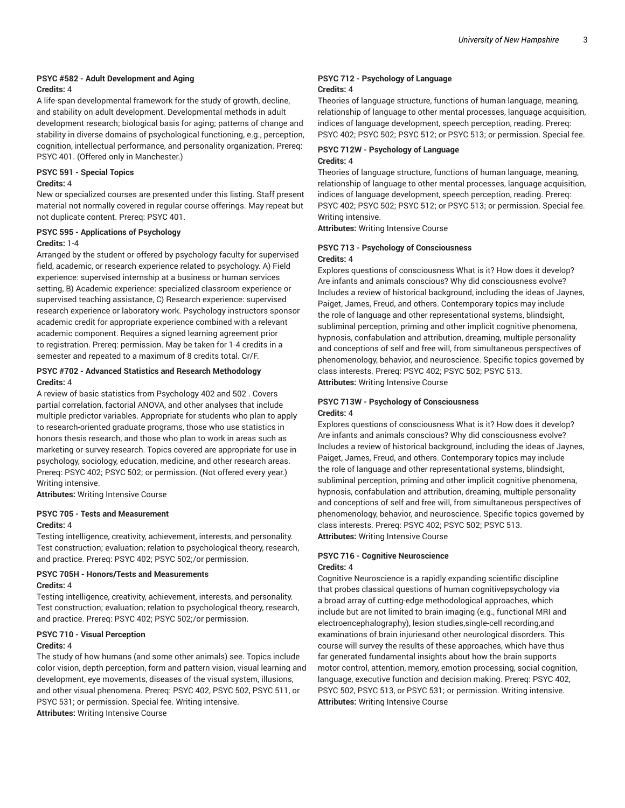#### **PSYC #582 - Adult Development and Aging Credits:** 4

A life-span developmental framework for the study of growth, decline, and stability on adult development. Developmental methods in adult development research; biological basis for aging; patterns of change and stability in diverse domains of psychological functioning, e.g., perception, cognition, intellectual performance, and personality organization. Prereq: PSYC 401. (Offered only in Manchester.)

#### **PSYC 591 - Special Topics**

#### **Credits:** 4

New or specialized courses are presented under this listing. Staff present material not normally covered in regular course offerings. May repeat but not duplicate content. Prereq: PSYC 401.

#### **PSYC 595 - Applications of Psychology Credits:** 1-4

Arranged by the student or offered by psychology faculty for supervised field, academic, or research experience related to psychology. A) Field experience: supervised internship at a business or human services setting, B) Academic experience: specialized classroom experience or supervised teaching assistance, C) Research experience: supervised research experience or laboratory work. Psychology instructors sponsor academic credit for appropriate experience combined with a relevant academic component. Requires a signed learning agreement prior to registration. Prereq: permission. May be taken for 1-4 credits in a semester and repeated to a maximum of 8 credits total. Cr/F.

#### **PSYC #702 - Advanced Statistics and Research Methodology Credits:** 4

A review of basic statistics from Psychology 402 and 502 . Covers partial correlation, factorial ANOVA, and other analyses that include multiple predictor variables. Appropriate for students who plan to apply to research-oriented graduate programs, those who use statistics in honors thesis research, and those who plan to work in areas such as marketing or survey research. Topics covered are appropriate for use in psychology, sociology, education, medicine, and other research areas. Prereq: PSYC 402; PSYC 502; or permission. (Not offered every year.) Writing intensive.

**Attributes:** Writing Intensive Course

#### **PSYC 705 - Tests and Measurement Credits:** 4

Testing intelligence, creativity, achievement, interests, and personality. Test construction; evaluation; relation to psychological theory, research, and practice. Prereq: PSYC 402; PSYC 502;/or permission.

#### **PSYC 705H - Honors/Tests and Measurements Credits:** 4

Testing intelligence, creativity, achievement, interests, and personality. Test construction; evaluation; relation to psychological theory, research, and practice. Prereq: PSYC 402; PSYC 502;/or permission.

#### **PSYC 710 - Visual Perception**

#### **Credits:** 4

The study of how humans (and some other animals) see. Topics include color vision, depth perception, form and pattern vision, visual learning and development, eye movements, diseases of the visual system, illusions, and other visual phenomena. Prereq: PSYC 402, PSYC 502, PSYC 511, or PSYC 531; or permission. Special fee. Writing intensive.

**Attributes:** Writing Intensive Course

#### **PSYC 712 - Psychology of Language Credits:** 4

Theories of language structure, functions of human language, meaning, relationship of language to other mental processes, language acquisition, indices of language development, speech perception, reading. Prereq: PSYC 402; PSYC 502; PSYC 512; or PSYC 513; or permission. Special fee.

#### **PSYC 712W - Psychology of Language Credits:** 4

Theories of language structure, functions of human language, meaning, relationship of language to other mental processes, language acquisition, indices of language development, speech perception, reading. Prereq: PSYC 402; PSYC 502; PSYC 512; or PSYC 513; or permission. Special fee. Writing intensive.

**Attributes:** Writing Intensive Course

#### **PSYC 713 - Psychology of Consciousness Credits:** 4

Explores questions of consciousness What is it? How does it develop? Are infants and animals conscious? Why did consciousness evolve? Includes a review of historical background, including the ideas of Jaynes, Paiget, James, Freud, and others. Contemporary topics may include the role of language and other representational systems, blindsight, subliminal perception, priming and other implicit cognitive phenomena, hypnosis, confabulation and attribution, dreaming, multiple personality and conceptions of self and free will, from simultaneous perspectives of phenomenology, behavior, and neuroscience. Specific topics governed by class interests. Prereq: PSYC 402; PSYC 502; PSYC 513. **Attributes:** Writing Intensive Course

#### **PSYC 713W - Psychology of Consciousness Credits:** 4

Explores questions of consciousness What is it? How does it develop? Are infants and animals conscious? Why did consciousness evolve? Includes a review of historical background, including the ideas of Jaynes, Paiget, James, Freud, and others. Contemporary topics may include the role of language and other representational systems, blindsight, subliminal perception, priming and other implicit cognitive phenomena, hypnosis, confabulation and attribution, dreaming, multiple personality and conceptions of self and free will, from simultaneous perspectives of phenomenology, behavior, and neuroscience. Specific topics governed by class interests. Prereq: PSYC 402; PSYC 502; PSYC 513. **Attributes:** Writing Intensive Course

#### **PSYC 716 - Cognitive Neuroscience Credits:** 4

Cognitive Neuroscience is a rapidly expanding scientific discipline that probes classical questions of human cognitivepsychology via a broad array of cutting-edge methodological approaches, which include but are not limited to brain imaging (e.g., functional MRI and electroencephalography), lesion studies,single-cell recording,and examinations of brain injuriesand other neurological disorders. This course will survey the results of these approaches, which have thus far generated fundamental insights about how the brain supports motor control, attention, memory, emotion processing, social cognition, language, executive function and decision making. Prereq: PSYC 402, PSYC 502, PSYC 513, or PSYC 531; or permission. Writing intensive. **Attributes:** Writing Intensive Course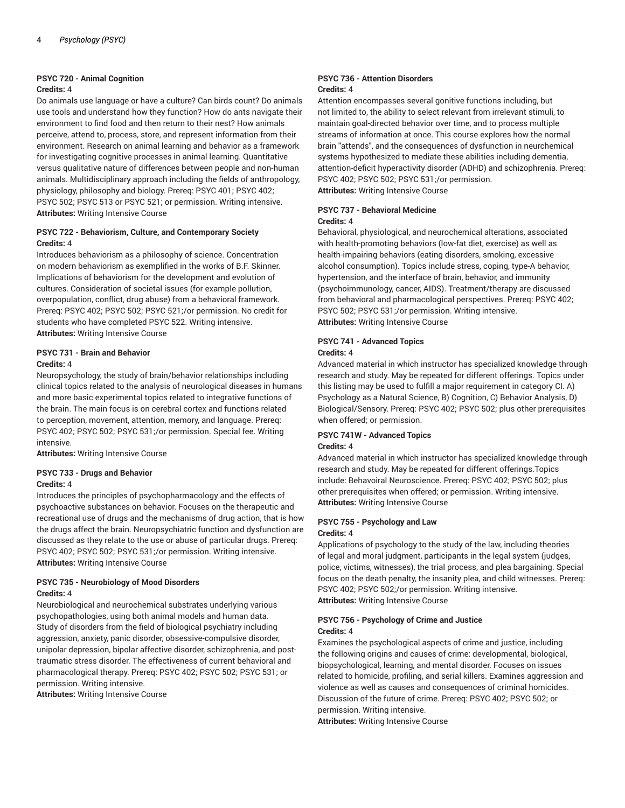#### **PSYC 720 - Animal Cognition**

#### **Credits:** 4

Do animals use language or have a culture? Can birds count? Do animals use tools and understand how they function? How do ants navigate their environment to find food and then return to their nest? How animals perceive, attend to, process, store, and represent information from their environment. Research on animal learning and behavior as a framework for investigating cognitive processes in animal learning. Quantitative versus qualitative nature of differences between people and non-human animals. Multidisciplinary approach including the fields of anthropology, physiology, philosophy and biology. Prereq: PSYC 401; PSYC 402; PSYC 502; PSYC 513 or PSYC 521; or permission. Writing intensive. **Attributes:** Writing Intensive Course

#### **PSYC 722 - Behaviorism, Culture, and Contemporary Society Credits:** 4

Introduces behaviorism as a philosophy of science. Concentration on modern behaviorism as exemplified in the works of B.F. Skinner. Implications of behaviorism for the development and evolution of cultures. Consideration of societal issues (for example pollution, overpopulation, conflict, drug abuse) from a behavioral framework. Prereq: PSYC 402; PSYC 502; PSYC 521;/or permission. No credit for students who have completed PSYC 522. Writing intensive. **Attributes:** Writing Intensive Course

#### **PSYC 731 - Brain and Behavior Credits:** 4

Neuropsychology, the study of brain/behavior relationships including clinical topics related to the analysis of neurological diseases in humans and more basic experimental topics related to integrative functions of the brain. The main focus is on cerebral cortex and functions related to perception, movement, attention, memory, and language. Prereq: PSYC 402; PSYC 502; PSYC 531;/or permission. Special fee. Writing intensive.

**Attributes:** Writing Intensive Course

### **PSYC 733 - Drugs and Behavior**

#### **Credits:** 4

Introduces the principles of psychopharmacology and the effects of psychoactive substances on behavior. Focuses on the therapeutic and recreational use of drugs and the mechanisms of drug action, that is how the drugs affect the brain. Neuropsychiatric function and dysfunction are discussed as they relate to the use or abuse of particular drugs. Prereq: PSYC 402; PSYC 502; PSYC 531;/or permission. Writing intensive. **Attributes:** Writing Intensive Course

#### **PSYC 735 - Neurobiology of Mood Disorders Credits:** 4

Neurobiological and neurochemical substrates underlying various psychopathologies, using both animal models and human data. Study of disorders from the field of biological psychiatry including aggression, anxiety, panic disorder, obsessive-compulsive disorder, unipolar depression, bipolar affective disorder, schizophrenia, and posttraumatic stress disorder. The effectiveness of current behavioral and pharmacological therapy. Prereq: PSYC 402; PSYC 502; PSYC 531; or permission. Writing intensive.

**Attributes:** Writing Intensive Course

#### **PSYC 736 - Attention Disorders Credits:** 4

Attention encompasses several gonitive functions including, but not limited to, the ability to select relevant from irrelevant stimuli, to maintain goal-directed behavior over time, and to process multiple streams of information at once. This course explores how the normal brain "attends", and the consequences of dysfunction in neurchemical systems hypothesized to mediate these abilities including dementia, attention-deficit hyperactivity disorder (ADHD) and schizophrenia. Prereq: PSYC 402; PSYC 502; PSYC 531;/or permission. **Attributes:** Writing Intensive Course

**PSYC 737 - Behavioral Medicine**

#### **Credits:** 4

Behavioral, physiological, and neurochemical alterations, associated with health-promoting behaviors (low-fat diet, exercise) as well as health-impairing behaviors (eating disorders, smoking, excessive alcohol consumption). Topics include stress, coping, type-A behavior, hypertension, and the interface of brain, behavior, and immunity (psychoimmunology, cancer, AIDS). Treatment/therapy are discussed from behavioral and pharmacological perspectives. Prereq: PSYC 402; PSYC 502; PSYC 531;/or permission. Writing intensive. **Attributes:** Writing Intensive Course

## **PSYC 741 - Advanced Topics**

#### **Credits:** 4

Advanced material in which instructor has specialized knowledge through research and study. May be repeated for different offerings. Topics under this listing may be used to fulfill a major requirement in category CI. A) Psychology as a Natural Science, B) Cognition, C) Behavior Analysis, D) Biological/Sensory. Prereq: PSYC 402; PSYC 502; plus other prerequisites when offered; or permission.

#### **PSYC 741W - Advanced Topics**

#### **Credits:** 4

Advanced material in which instructor has specialized knowledge through research and study. May be repeated for different offerings.Topics include: Behavoiral Neuroscience. Prereq: PSYC 402; PSYC 502; plus other prerequisites when offered; or permission. Writing intensive. **Attributes:** Writing Intensive Course

## **PSYC 755 - Psychology and Law**

#### **Credits:** 4

Applications of psychology to the study of the law, including theories of legal and moral judgment, participants in the legal system (judges, police, victims, witnesses), the trial process, and plea bargaining. Special focus on the death penalty, the insanity plea, and child witnesses. Prereq: PSYC 402; PSYC 502;/or permission. Writing intensive. **Attributes:** Writing Intensive Course

#### **PSYC 756 - Psychology of Crime and Justice Credits:** 4

Examines the psychological aspects of crime and justice, including the following origins and causes of crime: developmental, biological, biopsychological, learning, and mental disorder. Focuses on issues related to homicide, profiling, and serial killers. Examines aggression and violence as well as causes and consequences of criminal homicides. Discussion of the future of crime. Prereq: PSYC 402; PSYC 502; or permission. Writing intensive.

**Attributes:** Writing Intensive Course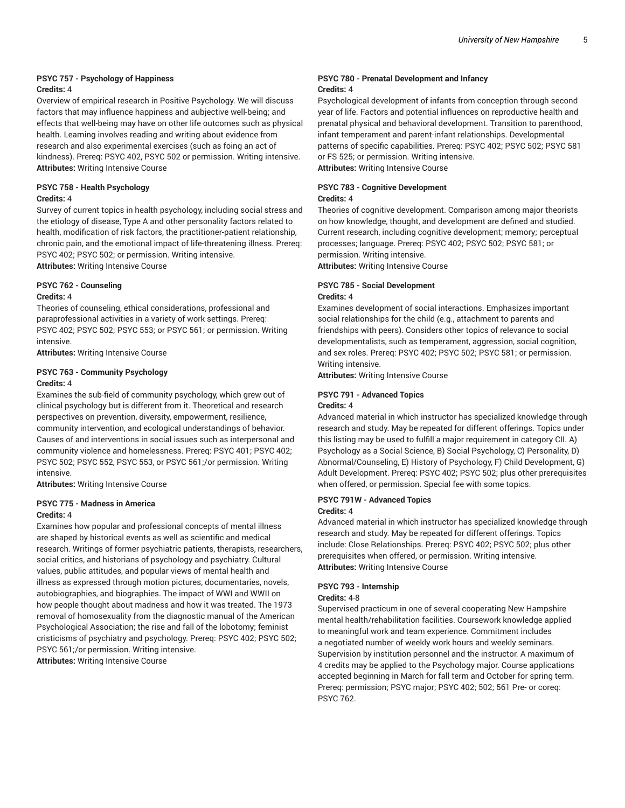#### **PSYC 757 - Psychology of Happiness Credits:** 4

Overview of empirical research in Positive Psychology. We will discuss factors that may influence happiness and aubjective well-being; and effects that well-being may have on other life outcomes such as physical health. Learning involves reading and writing about evidence from research and also experimental exercises (such as foing an act of kindness). Prereq: PSYC 402, PSYC 502 or permission. Writing intensive. **Attributes:** Writing Intensive Course

#### **PSYC 758 - Health Psychology Credits:** 4

Survey of current topics in health psychology, including social stress and the etiology of disease, Type A and other personality factors related to health, modification of risk factors, the practitioner-patient relationship, chronic pain, and the emotional impact of life-threatening illness. Prereq: PSYC 402; PSYC 502; or permission. Writing intensive.

**Attributes:** Writing Intensive Course

#### **PSYC 762 - Counseling**

#### **Credits:** 4

Theories of counseling, ethical considerations, professional and paraprofessional activities in a variety of work settings. Prereq: PSYC 402; PSYC 502; PSYC 553; or PSYC 561; or permission. Writing intensive.

**Attributes:** Writing Intensive Course

#### **PSYC 763 - Community Psychology Credits:** 4

Examines the sub-field of community psychology, which grew out of clinical psychology but is different from it. Theoretical and research perspectives on prevention, diversity, empowerment, resilience, community intervention, and ecological understandings of behavior. Causes of and interventions in social issues such as interpersonal and community violence and homelessness. Prereq: PSYC 401; PSYC 402; PSYC 502; PSYC 552, PSYC 553, or PSYC 561;/or permission. Writing intensive.

**Attributes:** Writing Intensive Course

#### **PSYC 775 - Madness in America Credits:** 4

Examines how popular and professional concepts of mental illness are shaped by historical events as well as scientific and medical research. Writings of former psychiatric patients, therapists, researchers, social critics, and historians of psychology and psychiatry. Cultural values, public attitudes, and popular views of mental health and illness as expressed through motion pictures, documentaries, novels, autobiographies, and biographies. The impact of WWI and WWII on how people thought about madness and how it was treated. The 1973 removal of homosexuality from the diagnostic manual of the American Psychological Association; the rise and fall of the lobotomy; feminist cristicisms of psychiatry and psychology. Prereq: PSYC 402; PSYC 502; PSYC 561;/or permission. Writing intensive.

**Attributes:** Writing Intensive Course

#### **PSYC 780 - Prenatal Development and Infancy Credits:** 4

Psychological development of infants from conception through second year of life. Factors and potential influences on reproductive health and prenatal physical and behavioral development. Transition to parenthood, infant temperament and parent-infant relationships. Developmental patterns of specific capabilities. Prereq: PSYC 402; PSYC 502; PSYC 581 or FS 525; or permission. Writing intensive.

**Attributes:** Writing Intensive Course

### **PSYC 783 - Cognitive Development**

#### **Credits:** 4

Theories of cognitive development. Comparison among major theorists on how knowledge, thought, and development are defined and studied. Current research, including cognitive development; memory; perceptual processes; language. Prereq: PSYC 402; PSYC 502; PSYC 581; or permission. Writing intensive.

**Attributes:** Writing Intensive Course

### **PSYC 785 - Social Development**

#### **Credits:** 4

Examines development of social interactions. Emphasizes important social relationships for the child (e.g., attachment to parents and friendships with peers). Considers other topics of relevance to social developmentalists, such as temperament, aggression, social cognition, and sex roles. Prereq: PSYC 402; PSYC 502; PSYC 581; or permission. Writing intensive.

**Attributes:** Writing Intensive Course

#### **PSYC 791 - Advanced Topics Credits:** 4

Advanced material in which instructor has specialized knowledge through research and study. May be repeated for different offerings. Topics under this listing may be used to fulfill a major requirement in category CII. A) Psychology as a Social Science, B) Social Psychology, C) Personality, D) Abnormal/Counseling, E) History of Psychology, F) Child Development, G) Adult Development. Prereq: PSYC 402; PSYC 502; plus other prerequisites when offered, or permission. Special fee with some topics.

#### **PSYC 791W - Advanced Topics Credits:** 4

#### Advanced material in which instructor has specialized knowledge through research and study. May be repeated for different offerings. Topics include: Close Relationships. Prereq: PSYC 402; PSYC 502; plus other prerequisites when offered, or permission. Writing intensive. **Attributes:** Writing Intensive Course

#### **PSYC 793 - Internship**

#### **Credits:** 4-8

Supervised practicum in one of several cooperating New Hampshire mental health/rehabilitation facilities. Coursework knowledge applied to meaningful work and team experience. Commitment includes a negotiated number of weekly work hours and weekly seminars. Supervision by institution personnel and the instructor. A maximum of 4 credits may be applied to the Psychology major. Course applications accepted beginning in March for fall term and October for spring term. Prereq: permission; PSYC major; PSYC 402; 502; 561 Pre- or coreq: PSYC 762.